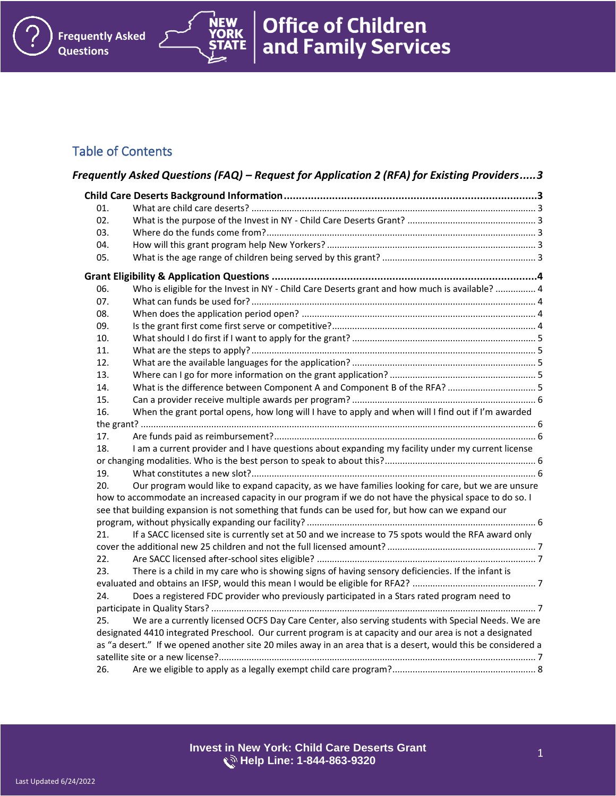# Table of Contents

**Frequently Asked** 

**NEW** ORK

**Questions**

|     | Frequently Asked Questions (FAQ) – Request for Application 2 (RFA) for Existing Providers3                     |  |
|-----|----------------------------------------------------------------------------------------------------------------|--|
|     |                                                                                                                |  |
| 01. |                                                                                                                |  |
| 02. |                                                                                                                |  |
| 03. |                                                                                                                |  |
| 04. |                                                                                                                |  |
| 05. |                                                                                                                |  |
|     |                                                                                                                |  |
| 06. | Who is eligible for the Invest in NY - Child Care Deserts grant and how much is available?  4                  |  |
| 07. |                                                                                                                |  |
| 08. |                                                                                                                |  |
| 09. |                                                                                                                |  |
| 10. |                                                                                                                |  |
| 11. |                                                                                                                |  |
| 12. |                                                                                                                |  |
| 13. |                                                                                                                |  |
| 14. | What is the difference between Component A and Component B of the RFA?  5                                      |  |
| 15. |                                                                                                                |  |
| 16. | When the grant portal opens, how long will I have to apply and when will I find out if I'm awarded             |  |
|     |                                                                                                                |  |
| 17. |                                                                                                                |  |
| 18. | I am a current provider and I have questions about expanding my facility under my current license              |  |
|     |                                                                                                                |  |
| 19. |                                                                                                                |  |
| 20. | Our program would like to expand capacity, as we have families looking for care, but we are unsure             |  |
|     | how to accommodate an increased capacity in our program if we do not have the physical space to do so. I       |  |
|     | see that building expansion is not something that funds can be used for, but how can we expand our             |  |
| 21. | If a SACC licensed site is currently set at 50 and we increase to 75 spots would the RFA award only            |  |
|     |                                                                                                                |  |
| 22. |                                                                                                                |  |
| 23. | There is a child in my care who is showing signs of having sensory deficiencies. If the infant is              |  |
|     |                                                                                                                |  |
| 24. | Does a registered FDC provider who previously participated in a Stars rated program need to                    |  |
|     |                                                                                                                |  |
| 25. | We are a currently licensed OCFS Day Care Center, also serving students with Special Needs. We are             |  |
|     | designated 4410 integrated Preschool. Our current program is at capacity and our area is not a designated      |  |
|     | as "a desert." If we opened another site 20 miles away in an area that is a desert, would this be considered a |  |
|     |                                                                                                                |  |
| 26. |                                                                                                                |  |
|     |                                                                                                                |  |

**Office of Children<br>and Family Services**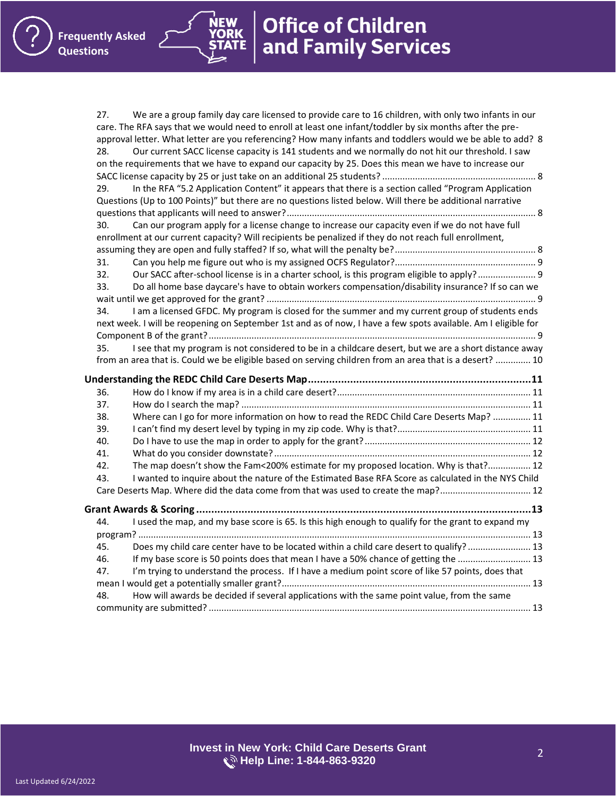**NEW YORK** 

| 27. | We are a group family day care licensed to provide care to 16 children, with only two infants in our           |  |
|-----|----------------------------------------------------------------------------------------------------------------|--|
|     | care. The RFA says that we would need to enroll at least one infant/toddler by six months after the pre-       |  |
|     | approval letter. What letter are you referencing? How many infants and toddlers would we be able to add? 8     |  |
| 28. | Our current SACC license capacity is 141 students and we normally do not hit our threshold. I saw              |  |
|     | on the requirements that we have to expand our capacity by 25. Does this mean we have to increase our          |  |
|     |                                                                                                                |  |
| 29. | In the RFA "5.2 Application Content" it appears that there is a section called "Program Application            |  |
|     | Questions (Up to 100 Points)" but there are no questions listed below. Will there be additional narrative      |  |
|     |                                                                                                                |  |
| 30. | Can our program apply for a license change to increase our capacity even if we do not have full                |  |
|     | enrollment at our current capacity? Will recipients be penalized if they do not reach full enrollment,         |  |
|     |                                                                                                                |  |
| 31. |                                                                                                                |  |
| 32. | Our SACC after-school license is in a charter school, is this program eligible to apply? 9                     |  |
| 33. | Do all home base daycare's have to obtain workers compensation/disability insurance? If so can we              |  |
|     |                                                                                                                |  |
| 34. | I am a licensed GFDC. My program is closed for the summer and my current group of students ends                |  |
|     | next week. I will be reopening on September 1st and as of now, I have a few spots available. Am I eligible for |  |
|     |                                                                                                                |  |
| 35. | I see that my program is not considered to be in a childcare desert, but we are a short distance away          |  |
|     | from an area that is. Could we be eligible based on serving children from an area that is a desert?  10        |  |
|     |                                                                                                                |  |
|     |                                                                                                                |  |
| 36. |                                                                                                                |  |
| 37. |                                                                                                                |  |
| 38. | Where can I go for more information on how to read the REDC Child Care Deserts Map?  11                        |  |
| 39. |                                                                                                                |  |
| 40. |                                                                                                                |  |
| 41. |                                                                                                                |  |
| 42. | The map doesn't show the Fam<200% estimate for my proposed location. Why is that? 12                           |  |
| 43. | I wanted to inquire about the nature of the Estimated Base RFA Score as calculated in the NYS Child            |  |
|     | Care Deserts Map. Where did the data come from that was used to create the map? 12                             |  |
|     |                                                                                                                |  |
| 44. | I used the map, and my base score is 65. Is this high enough to qualify for the grant to expand my             |  |
|     |                                                                                                                |  |
| 45. | Does my child care center have to be located within a child care desert to qualify?  13                        |  |
| 46. | If my base score is 50 points does that mean I have a 50% chance of getting the  13                            |  |
| 47. | I'm trying to understand the process. If I have a medium point score of like 57 points, does that              |  |
|     |                                                                                                                |  |
| 48. | How will awards be decided if several applications with the same point value, from the same                    |  |
|     |                                                                                                                |  |
|     |                                                                                                                |  |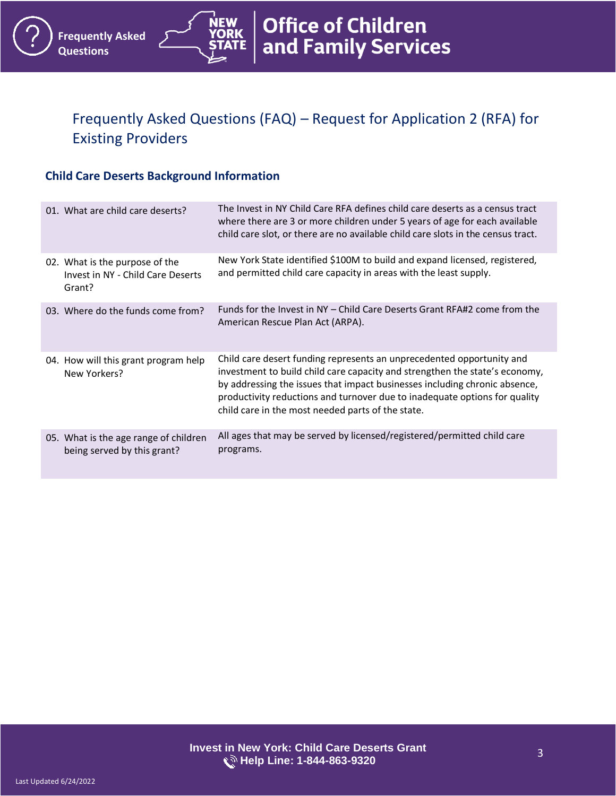# <span id="page-2-0"></span>Frequently Asked Questions (FAQ) – Request for Application 2 (RFA) for Existing Providers

**Office of Children<br>and Family Services** 

#### <span id="page-2-1"></span>**Child Care Deserts Background Information**

**Frequently Asked** 

**Questions**

<span id="page-2-6"></span><span id="page-2-5"></span><span id="page-2-4"></span><span id="page-2-3"></span><span id="page-2-2"></span>

| 01. What are child care deserts?                                              | The Invest in NY Child Care RFA defines child care deserts as a census tract<br>where there are 3 or more children under 5 years of age for each available<br>child care slot, or there are no available child care slots in the census tract.                                                                                                                        |
|-------------------------------------------------------------------------------|-----------------------------------------------------------------------------------------------------------------------------------------------------------------------------------------------------------------------------------------------------------------------------------------------------------------------------------------------------------------------|
| 02. What is the purpose of the<br>Invest in NY - Child Care Deserts<br>Grant? | New York State identified \$100M to build and expand licensed, registered,<br>and permitted child care capacity in areas with the least supply.                                                                                                                                                                                                                       |
| 03. Where do the funds come from?                                             | Funds for the Invest in NY – Child Care Deserts Grant RFA#2 come from the<br>American Rescue Plan Act (ARPA).                                                                                                                                                                                                                                                         |
| 04. How will this grant program help<br>New Yorkers?                          | Child care desert funding represents an unprecedented opportunity and<br>investment to build child care capacity and strengthen the state's economy,<br>by addressing the issues that impact businesses including chronic absence,<br>productivity reductions and turnover due to inadequate options for quality<br>child care in the most needed parts of the state. |
| 05. What is the age range of children<br>being served by this grant?          | All ages that may be served by licensed/registered/permitted child care<br>programs.                                                                                                                                                                                                                                                                                  |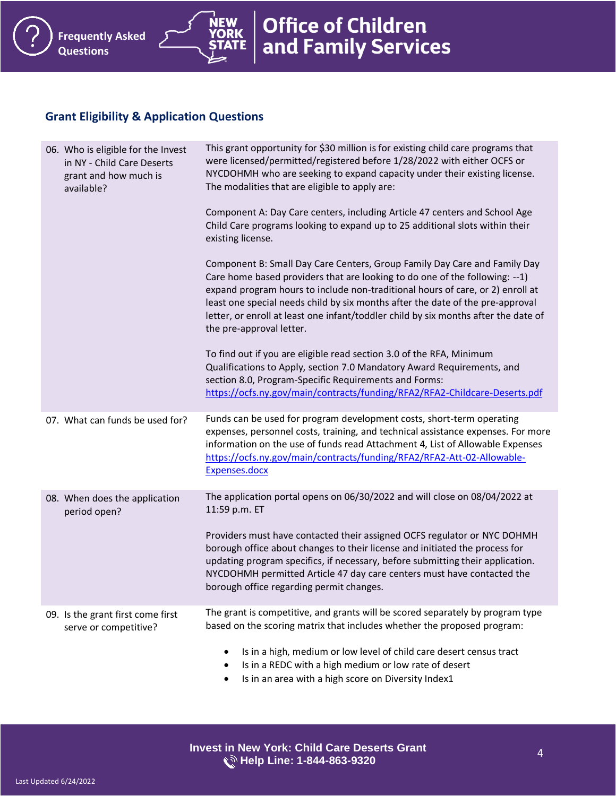### <span id="page-3-0"></span>**Grant Eligibility & Application Questions**

<span id="page-3-4"></span><span id="page-3-3"></span><span id="page-3-2"></span><span id="page-3-1"></span>

| 06. Who is eligible for the Invest<br>in NY - Child Care Deserts<br>grant and how much is<br>available? | This grant opportunity for \$30 million is for existing child care programs that<br>were licensed/permitted/registered before 1/28/2022 with either OCFS or<br>NYCDOHMH who are seeking to expand capacity under their existing license.<br>The modalities that are eligible to apply are:                                                                                                                                                      |
|---------------------------------------------------------------------------------------------------------|-------------------------------------------------------------------------------------------------------------------------------------------------------------------------------------------------------------------------------------------------------------------------------------------------------------------------------------------------------------------------------------------------------------------------------------------------|
|                                                                                                         | Component A: Day Care centers, including Article 47 centers and School Age<br>Child Care programs looking to expand up to 25 additional slots within their<br>existing license.                                                                                                                                                                                                                                                                 |
|                                                                                                         | Component B: Small Day Care Centers, Group Family Day Care and Family Day<br>Care home based providers that are looking to do one of the following: --1)<br>expand program hours to include non-traditional hours of care, or 2) enroll at<br>least one special needs child by six months after the date of the pre-approval<br>letter, or enroll at least one infant/toddler child by six months after the date of<br>the pre-approval letter. |
|                                                                                                         | To find out if you are eligible read section 3.0 of the RFA, Minimum<br>Qualifications to Apply, section 7.0 Mandatory Award Requirements, and<br>section 8.0, Program-Specific Requirements and Forms:<br>https://ocfs.ny.gov/main/contracts/funding/RFA2/RFA2-Childcare-Deserts.pdf                                                                                                                                                           |
| 07. What can funds be used for?                                                                         | Funds can be used for program development costs, short-term operating<br>expenses, personnel costs, training, and technical assistance expenses. For more<br>information on the use of funds read Attachment 4, List of Allowable Expenses<br>https://ocfs.ny.gov/main/contracts/funding/RFA2/RFA2-Att-02-Allowable-<br>Expenses.docx                                                                                                           |
| 08. When does the application<br>period open?                                                           | The application portal opens on 06/30/2022 and will close on 08/04/2022 at<br>11:59 p.m. ET                                                                                                                                                                                                                                                                                                                                                     |
|                                                                                                         | Providers must have contacted their assigned OCFS regulator or NYC DOHMH<br>borough office about changes to their license and initiated the process for<br>updating program specifics, if necessary, before submitting their application.<br>NYCDOHMH permitted Article 47 day care centers must have contacted the<br>borough office regarding permit changes.                                                                                 |
| 09. Is the grant first come first<br>serve or competitive?                                              | The grant is competitive, and grants will be scored separately by program type<br>based on the scoring matrix that includes whether the proposed program:                                                                                                                                                                                                                                                                                       |
|                                                                                                         | Is in a high, medium or low level of child care desert census tract<br>٠<br>Is in a REDC with a high medium or low rate of desert<br>Is in an area with a high score on Diversity Index1<br>٠                                                                                                                                                                                                                                                   |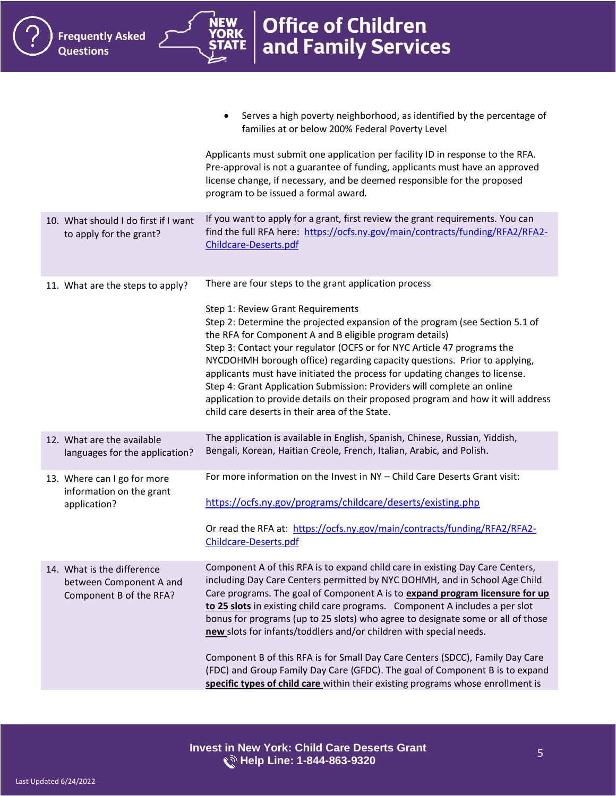ŃEW

<span id="page-4-4"></span><span id="page-4-3"></span><span id="page-4-2"></span><span id="page-4-1"></span><span id="page-4-0"></span>

|                                                                                  | Serves a high poverty neighborhood, as identified by the percentage of<br>families at or below 200% Federal Poverty Level                                                                                                                                                                                                                                                                                                                                                                                                                                                                                                                                                                                                                |
|----------------------------------------------------------------------------------|------------------------------------------------------------------------------------------------------------------------------------------------------------------------------------------------------------------------------------------------------------------------------------------------------------------------------------------------------------------------------------------------------------------------------------------------------------------------------------------------------------------------------------------------------------------------------------------------------------------------------------------------------------------------------------------------------------------------------------------|
|                                                                                  | Applicants must submit one application per facility ID in response to the RFA.<br>Pre-approval is not a guarantee of funding, applicants must have an approved<br>license change, if necessary, and be deemed responsible for the proposed<br>program to be issued a formal award.                                                                                                                                                                                                                                                                                                                                                                                                                                                       |
| 10. What should I do first if I want<br>to apply for the grant?                  | If you want to apply for a grant, first review the grant requirements. You can<br>find the full RFA here: https://ocfs.ny.gov/main/contracts/funding/RFA2/RFA2-<br>Childcare-Deserts.pdf                                                                                                                                                                                                                                                                                                                                                                                                                                                                                                                                                 |
| 11. What are the steps to apply?                                                 | There are four steps to the grant application process<br>Step 1: Review Grant Requirements<br>Step 2: Determine the projected expansion of the program (see Section 5.1 of<br>the RFA for Component A and B eligible program details)<br>Step 3: Contact your regulator (OCFS or for NYC Article 47 programs the<br>NYCDOHMH borough office) regarding capacity questions. Prior to applying,<br>applicants must have initiated the process for updating changes to license.<br>Step 4: Grant Application Submission: Providers will complete an online<br>application to provide details on their proposed program and how it will address<br>child care deserts in their area of the State.                                            |
| 12. What are the available<br>languages for the application?                     | The application is available in English, Spanish, Chinese, Russian, Yiddish,<br>Bengali, Korean, Haitian Creole, French, Italian, Arabic, and Polish.                                                                                                                                                                                                                                                                                                                                                                                                                                                                                                                                                                                    |
| 13. Where can I go for more<br>information on the grant<br>application?          | For more information on the Invest in NY - Child Care Deserts Grant visit:<br>https://ocfs.ny.gov/programs/childcare/deserts/existing.php<br>Or read the RFA at: https://ocfs.ny.gov/main/contracts/funding/RFA2/RFA2-<br>Childcare-Deserts.pdf                                                                                                                                                                                                                                                                                                                                                                                                                                                                                          |
| 14. What is the difference<br>between Component A and<br>Component B of the RFA? | Component A of this RFA is to expand child care in existing Day Care Centers,<br>including Day Care Centers permitted by NYC DOHMH, and in School Age Child<br>Care programs. The goal of Component A is to expand program licensure for up<br>to 25 slots in existing child care programs. Component A includes a per slot<br>bonus for programs (up to 25 slots) who agree to designate some or all of those<br>new slots for infants/toddlers and/or children with special needs.<br>Component B of this RFA is for Small Day Care Centers (SDCC), Family Day Care<br>(FDC) and Group Family Day Care (GFDC). The goal of Component B is to expand<br>specific types of child care within their existing programs whose enrollment is |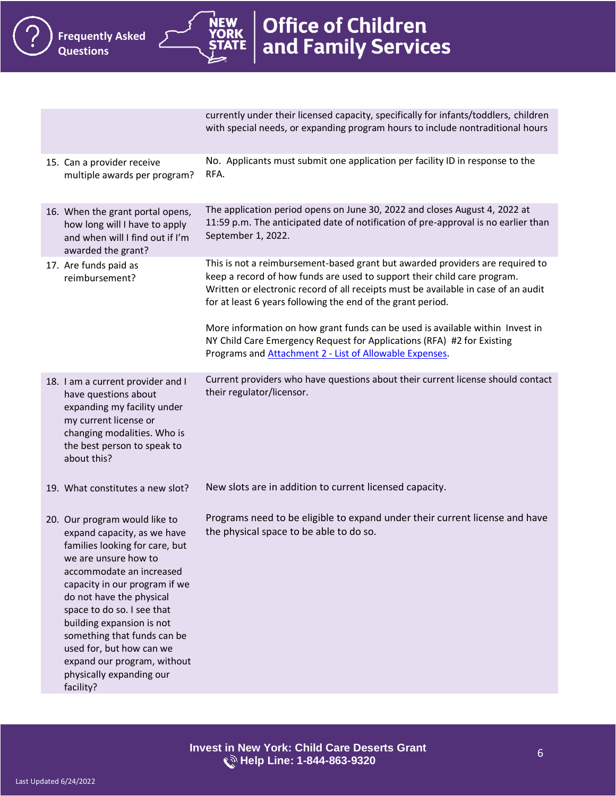<span id="page-5-5"></span><span id="page-5-4"></span><span id="page-5-3"></span><span id="page-5-2"></span><span id="page-5-1"></span><span id="page-5-0"></span>currently under their licensed capacity, specifically for infants/toddlers, children with special needs, or expanding program hours to include nontraditional hours 15. Can a provider receive multiple awards per program? No. Applicants must submit one application per facility ID in response to the RFA. 16. When the grant portal opens, how long will I have to apply and when will I find out if I'm awarded the grant? The application period opens on June 30, 2022 and closes August 4, 2022 at 11:59 p.m. The anticipated date of notification of pre-approval is no earlier than September 1, 2022. 17. Are funds paid as reimbursement? This is not a reimbursement-based grant but awarded providers are required to keep a record of how funds are used to support their child care program. Written or electronic record of all receipts must be available in case of an audit for at least 6 years following the end of the grant period. More information on how grant funds can be used is available within Invest in NY Child Care Emergency Request for Applications (RFA) #2 for Existing Programs and Attachment 2 - [List of Allowable Expenses.](https://ocfs.ny.gov/main/contracts/funding/RFA2/RFA2-Att-02-Allowable-Expenses.docx) 18. I am a current provider and I have questions about expanding my facility under my current license or changing modalities. Who is the best person to speak to about this? Current providers who have questions about their current license should contact their regulator/licensor. 19. What constitutes a new slot? New slots are in addition to current licensed capacity. 20. Our program would like to expand capacity, as we have families looking for care, but we are unsure how to accommodate an increased capacity in our program if we do not have the physical space to do so. I see that building expansion is not something that funds can be used for, but how can we expand our program, without physically expanding our facility? Programs need to be eligible to expand under their current license and have the physical space to be able to do so.

**Office of Children** 

and Family Services

**Frequently Asked** 

**Questions**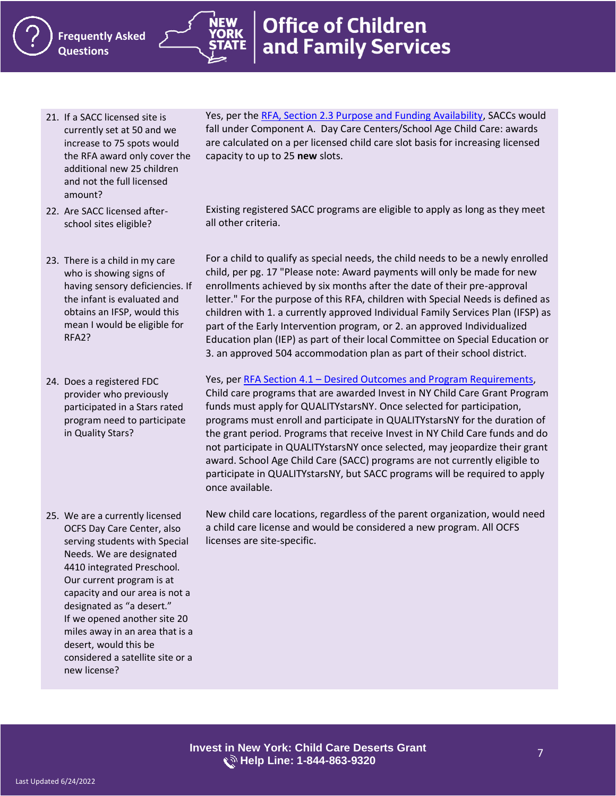- <span id="page-6-0"></span>21. If a SACC licensed site is currently set at 50 and we increase to 75 spots would the RFA award only cover the additional new 25 children and not the full licensed amount?
- <span id="page-6-1"></span>22. Are SACC licensed afterschool sites eligible?
- <span id="page-6-2"></span>23. There is a child in my care who is showing signs of having sensory deficiencies. If the infant is evaluated and obtains an IFSP, would this mean I would be eligible for RFA2?
- <span id="page-6-3"></span>24. Does a registered FDC provider who previously participated in a Stars rated program need to participate in Quality Stars?
- <span id="page-6-4"></span>25. We are a currently licensed OCFS Day Care Center, also serving students with Special Needs. We are designated 4410 integrated Preschool. Our current program is at capacity and our area is not a designated as "a desert." If we opened another site 20 miles away in an area that is a desert, would this be considered a satellite site or a new license?

Yes, per the [RFA, Section 2.3 Purpose and Funding Availability,](https://ocfs.ny.gov/main/contracts/funding/RFA2/RFA2-Childcare-Deserts.pdf) SACCs would fall under Component A. Day Care Centers/School Age Child Care: awards are calculated on a per licensed child care slot basis for increasing licensed capacity to up to 25 **new** slots.

Existing registered SACC programs are eligible to apply as long as they meet all other criteria.

For a child to qualify as special needs, the child needs to be a newly enrolled child, per pg. 17 "Please note: Award payments will only be made for new enrollments achieved by six months after the date of their pre-approval letter." For the purpose of this RFA, children with Special Needs is defined as children with 1. a currently approved Individual Family Services Plan (IFSP) as part of the Early Intervention program, or 2. an approved Individualized Education plan (IEP) as part of their local Committee on Special Education or 3. an approved 504 accommodation plan as part of their school district.

Yes, per RFA Section 4.1 – [Desired Outcomes and Program Requirements,](https://ocfs.ny.gov/main/contracts/funding/RFA2/RFA2-Childcare-Deserts.pdf) Child care programs that are awarded Invest in NY Child Care Grant Program funds must apply for QUALITYstarsNY. Once selected for participation, programs must enroll and participate in QUALITYstarsNY for the duration of the grant period. Programs that receive Invest in NY Child Care funds and do not participate in QUALITYstarsNY once selected, may jeopardize their grant award. School Age Child Care (SACC) programs are not currently eligible to participate in QUALITYstarsNY, but SACC programs will be required to apply once available.

New child care locations, regardless of the parent organization, would need a child care license and would be considered a new program. All OCFS licenses are site-specific.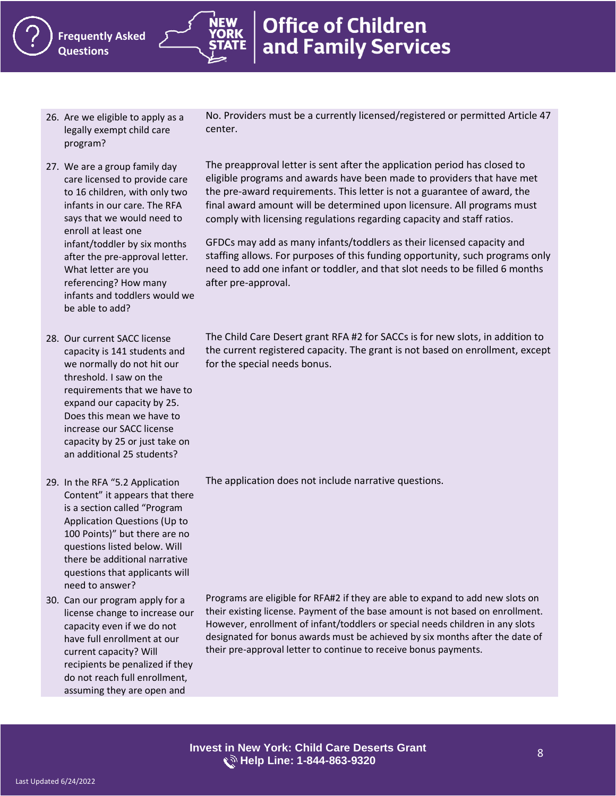- <span id="page-7-0"></span>26. Are we eligible to apply as a legally exempt child care program?
- <span id="page-7-1"></span>27. We are a group family day care licensed to provide care to 16 children, with only two infants in our care. The RFA says that we would need to enroll at least one infant/toddler by six months after the pre-approval letter. What letter are you referencing? How many infants and toddlers would we be able to add?
- <span id="page-7-2"></span>28. Our current SACC license capacity is 141 students and we normally do not hit our threshold. I saw on the requirements that we have to expand our capacity by 25. Does this mean we have to increase our SACC license capacity by 25 or just take on an additional 25 students?

<span id="page-7-3"></span>29. In the RFA "5.2 Application Content" it appears that there is a section called "Program Application Questions (Up to 100 Points)" but there are no questions listed below. Will there be additional narrative questions that applicants will need to answer?

<span id="page-7-4"></span>30. Can our program apply for a license change to increase our capacity even if we do not have full enrollment at our current capacity? Will recipients be penalized if they do not reach full enrollment, assuming they are open and

No. Providers must be a currently licensed/registered or permitted Article 47 center.

The preapproval letter is sent after the application period has closed to eligible programs and awards have been made to providers that have met the pre-award requirements. This letter is not a guarantee of award, the final award amount will be determined upon licensure. All programs must comply with licensing regulations regarding capacity and staff ratios.

GFDCs may add as many infants/toddlers as their licensed capacity and staffing allows. For purposes of this funding opportunity, such programs only need to add one infant or toddler, and that slot needs to be filled 6 months after pre-approval.

The Child Care Desert grant RFA #2 for SACCs is for new slots, in addition to the current registered capacity. The grant is not based on enrollment, except for the special needs bonus.

The application does not include narrative questions.

Programs are eligible for RFA#2 if they are able to expand to add new slots on their existing license. Payment of the base amount is not based on enrollment. However, enrollment of infant/toddlers or special needs children in any slots designated for bonus awards must be achieved by six months after the date of their pre-approval letter to continue to receive bonus payments.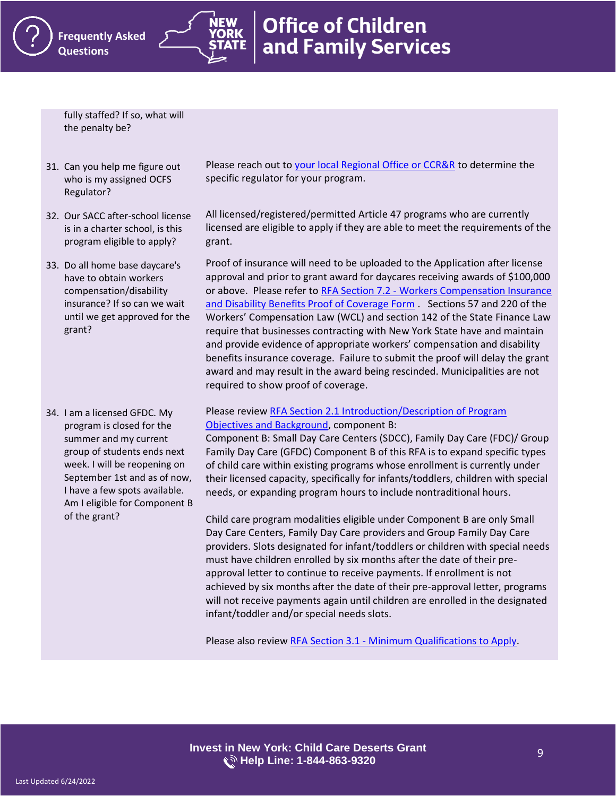**Office of Children** and Family Services

fully staffed? If so, what will the penalty be?

- <span id="page-8-0"></span>31. Can you help me figure out who is my assigned OCFS Regulator?
- <span id="page-8-1"></span>32. Our SACC after-school license is in a charter school, is this program eligible to apply?
- <span id="page-8-2"></span>33. Do all home base daycare's have to obtain workers compensation/disability insurance? If so can we wait until we get approved for the grant?

<span id="page-8-3"></span>34. I am a licensed GFDC. My program is closed for the summer and my current group of students ends next week. I will be reopening on September 1st and as of now, I have a few spots available. Am I eligible for Component B of the grant?

Please reach out to [your local Regional Office or CCR&R](https://ocfs.ny.gov/programs/childcare/referral-agencies.php) to determine the specific regulator for your program.

All licensed/registered/permitted Article 47 programs who are currently licensed are eligible to apply if they are able to meet the requirements of the grant.

Proof of insurance will need to be uploaded to the Application after license approval and prior to grant award for daycares receiving awards of \$100,000 or above. Please refer to RFA Section 7.2 - [Workers Compensation Insurance](https://ocfs.ny.gov/main/contracts/funding/RFA2/RFA2-Childcare-Deserts.pdf)  [and Disability Benefits Proof of Coverage Form](https://ocfs.ny.gov/main/contracts/funding/RFA2/RFA2-Childcare-Deserts.pdf) . Sections 57 and 220 of the Workers' Compensation Law (WCL) and section 142 of the State Finance Law require that businesses contracting with New York State have and maintain and provide evidence of appropriate workers' compensation and disability benefits insurance coverage. Failure to submit the proof will delay the grant award and may result in the award being rescinded. Municipalities are not required to show proof of coverage.

#### Please review [RFA Section 2.1 Introduction/Description of Program](https://ocfs.ny.gov/main/contracts/funding/RFA2/RFA2-Childcare-Deserts.pdf)  [Objectives and Background,](https://ocfs.ny.gov/main/contracts/funding/RFA2/RFA2-Childcare-Deserts.pdf) component B:

Component B: Small Day Care Centers (SDCC), Family Day Care (FDC)/ Group Family Day Care (GFDC) Component B of this RFA is to expand specific types of child care within existing programs whose enrollment is currently under their licensed capacity, specifically for infants/toddlers, children with special needs, or expanding program hours to include nontraditional hours.

Child care program modalities eligible under Component B are only Small Day Care Centers, Family Day Care providers and Group Family Day Care providers. Slots designated for infant/toddlers or children with special needs must have children enrolled by six months after the date of their preapproval letter to continue to receive payments. If enrollment is not achieved by six months after the date of their pre-approval letter, programs will not receive payments again until children are enrolled in the designated infant/toddler and/or special needs slots.

Please also review RFA Section 3.1 - [Minimum Qualifications to Apply.](https://ocfs.ny.gov/main/contracts/funding/RFA2/RFA2-Childcare-Deserts.pdf)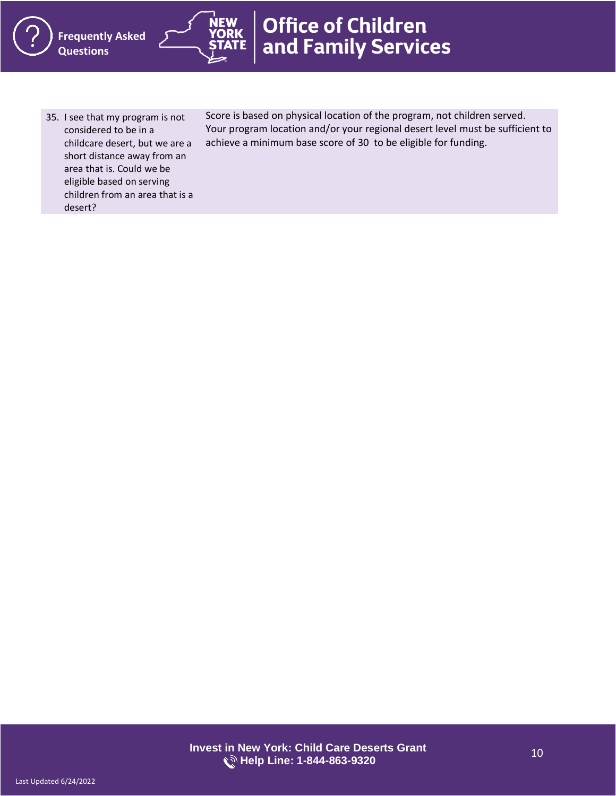<span id="page-9-0"></span>35. I see that my program is not considered to be in a childcare desert, but we are a short distance away from an area that is. Could we be eligible based on serving children from an area that is a desert?

Score is based on physical location of the program, not children served. Your program location and/or your regional desert level must be sufficient to achieve a minimum base score of 30 to be eligible for funding.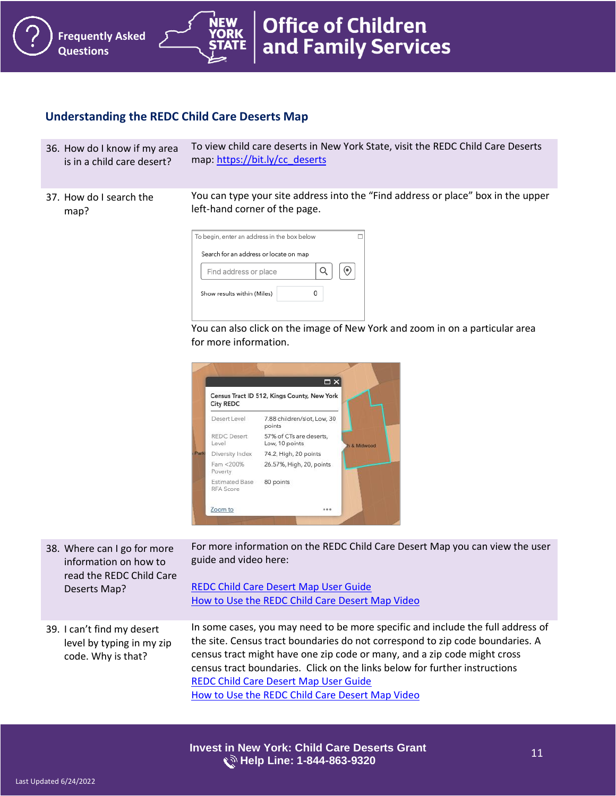## <span id="page-10-0"></span>**Understanding the REDC Child Care Deserts Map**

**Frequently Asked** 

**Questions**

<span id="page-10-1"></span>36. How do I know if my area is in a child care desert? To view child care deserts in New York State, visit the REDC Child Care Deserts map[: https://bit.ly/cc\\_deserts](https://bit.ly/cc_deserts)

**Office of Children** 

and Family Services

<span id="page-10-2"></span>37. How do I search the map? You can type your site address into the "Find address or place" box in the upper left-hand corner of the page.



You can also click on the image of New York and zoom in on a particular area for more information.



For more information on the REDC Child Care Desert Map you can view the user guide and video here:

<span id="page-10-4"></span>

| information on how to                                                         | guide and video here:                                                                                                                                                                                                                                                                                                                                                                                                         |
|-------------------------------------------------------------------------------|-------------------------------------------------------------------------------------------------------------------------------------------------------------------------------------------------------------------------------------------------------------------------------------------------------------------------------------------------------------------------------------------------------------------------------|
| read the REDC Child Care                                                      | <b>REDC Child Care Desert Map User Guide</b>                                                                                                                                                                                                                                                                                                                                                                                  |
| Deserts Map?                                                                  | How to Use the REDC Child Care Desert Map Video                                                                                                                                                                                                                                                                                                                                                                               |
| 39. I can't find my desert<br>level by typing in my zip<br>code. Why is that? | In some cases, you may need to be more specific and include the full address of<br>the site. Census tract boundaries do not correspond to zip code boundaries. A<br>census tract might have one zip code or many, and a zip code might cross<br>census tract boundaries. Click on the links below for further instructions<br><b>REDC Child Care Desert Map User Guide</b><br>How to Use the REDC Child Care Desert Map Video |

**Invest in New York: Child Care Deserts Grant Help Line: 1-844-863-9320**

<span id="page-10-3"></span>38. Where can I go for more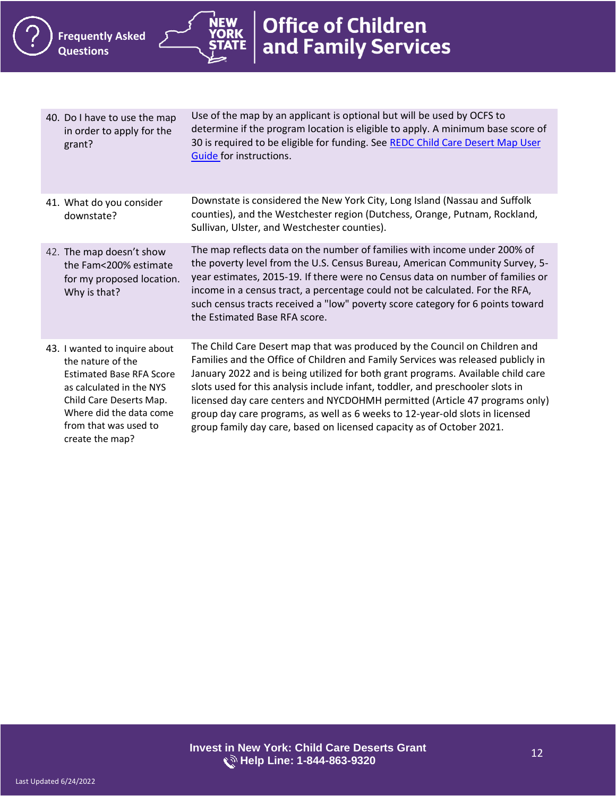**NEW ORK** 



<span id="page-11-3"></span><span id="page-11-2"></span><span id="page-11-1"></span><span id="page-11-0"></span>

| 40. Do I have to use the map<br>in order to apply for the<br>grant?                                                                                                                                                 | Use of the map by an applicant is optional but will be used by OCFS to<br>determine if the program location is eligible to apply. A minimum base score of<br>30 is required to be eligible for funding. See REDC Child Care Desert Map User<br>Guide for instructions.                                                                                                                                                                                                                                                                                                       |
|---------------------------------------------------------------------------------------------------------------------------------------------------------------------------------------------------------------------|------------------------------------------------------------------------------------------------------------------------------------------------------------------------------------------------------------------------------------------------------------------------------------------------------------------------------------------------------------------------------------------------------------------------------------------------------------------------------------------------------------------------------------------------------------------------------|
| 41. What do you consider<br>downstate?                                                                                                                                                                              | Downstate is considered the New York City, Long Island (Nassau and Suffolk<br>counties), and the Westchester region (Dutchess, Orange, Putnam, Rockland,<br>Sullivan, Ulster, and Westchester counties).                                                                                                                                                                                                                                                                                                                                                                     |
| 42. The map doesn't show<br>the Fam<200% estimate<br>for my proposed location.<br>Why is that?                                                                                                                      | The map reflects data on the number of families with income under 200% of<br>the poverty level from the U.S. Census Bureau, American Community Survey, 5-<br>year estimates, 2015-19. If there were no Census data on number of families or<br>income in a census tract, a percentage could not be calculated. For the RFA,<br>such census tracts received a "low" poverty score category for 6 points toward<br>the Estimated Base RFA score.                                                                                                                               |
| 43. I wanted to inquire about<br>the nature of the<br><b>Estimated Base RFA Score</b><br>as calculated in the NYS<br>Child Care Deserts Map.<br>Where did the data come<br>from that was used to<br>create the map? | The Child Care Desert map that was produced by the Council on Children and<br>Families and the Office of Children and Family Services was released publicly in<br>January 2022 and is being utilized for both grant programs. Available child care<br>slots used for this analysis include infant, toddler, and preschooler slots in<br>licensed day care centers and NYCDOHMH permitted (Article 47 programs only)<br>group day care programs, as well as 6 weeks to 12-year-old slots in licensed<br>group family day care, based on licensed capacity as of October 2021. |